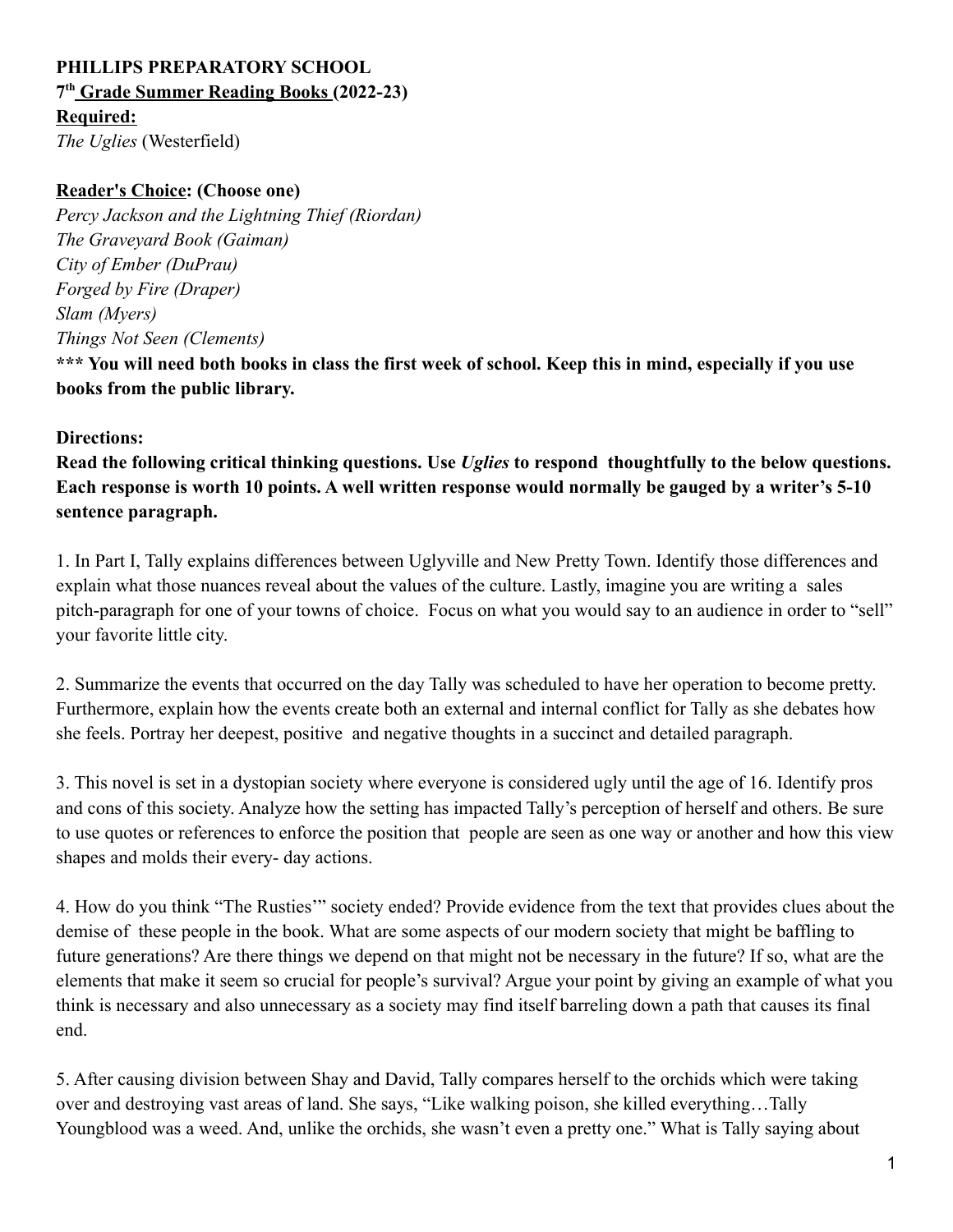## **PHILLIPS PREPARATORY SCHOOL 7 th Grade Summer Reading Books (2022-23) Required:**

*The Uglies* (Westerfield)

## **Reader's Choice: (Choose one)**

*Percy Jackson and the Lightning Thief (Riordan) The Graveyard Book (Gaiman) City of Ember (DuPrau) Forged by Fire (Draper) Slam (Myers) Things Not Seen (Clements)*

**\*\*\* You will need both books in class the first week of school. Keep this in mind, especially if you use books from the public library.**

## **Directions:**

**Read the following critical thinking questions. Use** *Uglies* **to respond thoughtfully to the below questions. Each response is worth 10 points. A well written response would normally be gauged by a writer's 5-10 sentence paragraph.**

1. In Part I, Tally explains differences between Uglyville and New Pretty Town. Identify those differences and explain what those nuances reveal about the values of the culture. Lastly, imagine you are writing a sales pitch-paragraph for one of your towns of choice. Focus on what you would say to an audience in order to "sell" your favorite little city.

2. Summarize the events that occurred on the day Tally was scheduled to have her operation to become pretty. Furthermore, explain how the events create both an external and internal conflict for Tally as she debates how she feels. Portray her deepest, positive and negative thoughts in a succinct and detailed paragraph.

3. This novel is set in a dystopian society where everyone is considered ugly until the age of 16. Identify pros and cons of this society. Analyze how the setting has impacted Tally's perception of herself and others. Be sure to use quotes or references to enforce the position that people are seen as one way or another and how this view shapes and molds their every- day actions.

4. How do you think "The Rusties'" society ended? Provide evidence from the text that provides clues about the demise of these people in the book. What are some aspects of our modern society that might be baffling to future generations? Are there things we depend on that might not be necessary in the future? If so, what are the elements that make it seem so crucial for people's survival? Argue your point by giving an example of what you think is necessary and also unnecessary as a society may find itself barreling down a path that causes its final end.

5. After causing division between Shay and David, Tally compares herself to the orchids which were taking over and destroying vast areas of land. She says, "Like walking poison, she killed everything…Tally Youngblood was a weed. And, unlike the orchids, she wasn't even a pretty one." What is Tally saying about